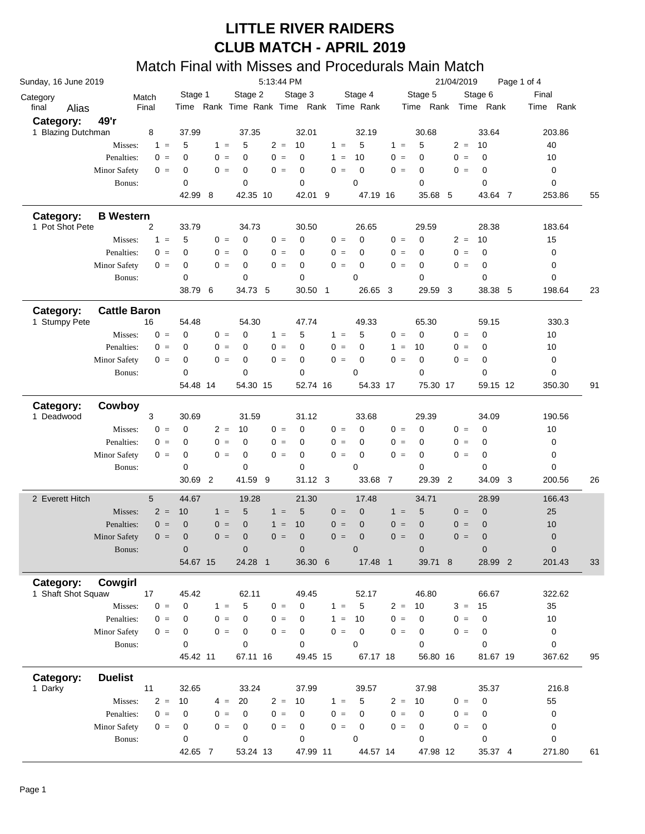|                                 |                     |                 |       |               |       |                      |          |                      | .             |       |                                         |       | ,,,,,,                  |                |         |                |             |             |    |
|---------------------------------|---------------------|-----------------|-------|---------------|-------|----------------------|----------|----------------------|---------------|-------|-----------------------------------------|-------|-------------------------|----------------|---------|----------------|-------------|-------------|----|
| Sunday, 16 June 2019            |                     |                 |       |               |       |                      |          | 5:13:44 PM           |               |       |                                         |       |                         | 21/04/2019     |         |                | Page 1 of 4 |             |    |
| Category                        |                     | Match           |       | Stage 1       |       | Stage 2              |          | Stage 3              |               |       | Stage 4                                 |       | Stage 5                 |                | Stage 6 |                |             | Final       |    |
| final                           | Alias               | Final           |       |               |       |                      |          |                      |               |       | Time Rank Time Rank Time Rank Time Rank |       | Time Rank Time Rank     |                |         |                |             | Time Rank   |    |
| Category:                       | 49'r                |                 |       |               |       |                      |          |                      |               |       |                                         |       |                         |                |         |                |             |             |    |
| 1 Blazing Dutchman              |                     | 8               |       | 37.99         |       | 37.35                |          |                      | 32.01         |       | 32.19                                   |       | 30.68                   |                |         | 33.64          |             | 203.86      |    |
|                                 | Misses:             |                 | $1 =$ | 5             | $1 =$ | 5                    |          | $2 =$<br>10          |               | $1 =$ | 5                                       | $1 =$ | 5                       | $2 =$          | 10      |                |             | 40          |    |
|                                 | Penalties:          |                 | $0 =$ | $\mathbf 0$   | $0 =$ | 0                    |          | $0 =$<br>$\mathbf 0$ |               | $1 =$ | 10                                      | $0 =$ | $\mathbf 0$             | $0 =$          |         | $\mathbf 0$    |             | 10          |    |
|                                 | <b>Minor Safety</b> |                 | $0 =$ | 0             | $0 =$ | 0                    |          | $0 =$<br>$\mathbf 0$ |               | $0 =$ | $\mathbf 0$                             | $0 =$ | $\mathbf 0$             | $0 =$          |         | $\mathbf 0$    |             | 0           |    |
|                                 | Bonus:              |                 |       | 0             |       | $\mathbf 0$          |          |                      | 0             |       | $\mathbf 0$                             |       | $\mathbf 0$             |                |         | 0              |             | $\mathbf 0$ |    |
|                                 |                     |                 |       | 42.99 8       |       |                      | 42.35 10 |                      | 42.01 9       |       | 47.19 16                                |       | 35.68 5                 |                |         | 43.64 7        |             | 253.86      | 55 |
| Category:                       | <b>B</b> Western    |                 |       |               |       |                      |          |                      |               |       |                                         |       |                         |                |         |                |             |             |    |
| 1 Pot Shot Pete                 |                     | $\overline{2}$  |       | 33.79         |       | 34.73                |          |                      | 30.50         |       | 26.65                                   |       | 29.59                   |                |         | 28.38          |             | 183.64      |    |
|                                 | Misses:             |                 | $1 =$ | 5             | $0 =$ | $\mathbf 0$          |          | $0 =$<br>0           |               | $0 =$ | $\mathbf 0$                             | $0 =$ | $\mathbf 0$             | $2 =$          | 10      |                |             | 15          |    |
|                                 | Penalties:          |                 | $0 =$ | $\mathbf 0$   | $0 =$ | $\Omega$             |          | $0 =$                | 0             | $0 =$ | $\mathbf 0$                             | $0 =$ | $\mathbf 0$             | $0 =$          |         | $\mathbf 0$    |             | 0           |    |
|                                 | <b>Minor Safety</b> |                 | $0 =$ | 0             | $0 =$ | $\mathbf 0$          |          | $0 =$<br>$\mathbf 0$ |               | $0 =$ | $\mathbf 0$                             | $0 =$ | 0                       | $0 =$          |         | $\mathbf 0$    |             | $\pmb{0}$   |    |
|                                 | Bonus:              |                 |       | 0             |       | $\mathbf 0$          |          |                      | 0             |       | $\mathbf 0$                             |       | $\mathbf 0$             |                |         | 0              |             | 0           |    |
|                                 |                     |                 |       | 38.79 6       |       | 34.73 5              |          |                      | 30.50 1       |       | 26.65 3                                 |       | 29.59 3                 |                |         | 38.38 5        |             | 198.64      | 23 |
| Category:                       | <b>Cattle Baron</b> |                 |       |               |       |                      |          |                      |               |       |                                         |       |                         |                |         |                |             |             |    |
| 1 Stumpy Pete                   |                     | 16              |       | 54.48         |       | 54.30                |          |                      | 47.74         |       | 49.33                                   |       | 65.30                   |                |         | 59.15          |             | 330.3       |    |
|                                 | Misses:             |                 | $0 =$ | $\mathbf 0$   | $0 =$ | $\mathbf 0$          |          | 5<br>$1 =$           |               | $1 =$ | 5                                       | $0 =$ | $\mathbf 0$             | $0 =$          |         | $\mathbf 0$    |             | 10          |    |
|                                 | Penalties:          |                 | $0 =$ | $\mathbf 0$   | $0 =$ | $\mathbf 0$          |          | $0 =$                | $\mathbf 0$   | $0 =$ | 0                                       | $1 =$ | 10                      | $0 =$          |         | $\mathbf 0$    |             | 10          |    |
|                                 | <b>Minor Safety</b> |                 | $0 =$ | 0             | $0 =$ | $\mathbf 0$          |          | $0 =$<br>$\mathbf 0$ |               | $0 =$ | $\mathbf 0$                             | $0 =$ | $\mathbf 0$             | $0 =$          |         | $\mathbf 0$    |             | 0           |    |
|                                 | Bonus:              |                 |       | 0             |       | $\mathbf 0$          |          | $\mathbf 0$          |               |       | $\mathbf 0$                             |       | $\mathbf 0$             |                |         | 0              |             | $\mathbf 0$ |    |
|                                 |                     |                 |       | 54.48 14      |       |                      | 54.30 15 |                      | 52.74 16      |       | 54.33 17                                |       | 75.30 17                |                |         | 59.15 12       |             | 350.30      | 91 |
| Category:                       | Cowboy              |                 |       |               |       |                      |          |                      |               |       |                                         |       |                         |                |         |                |             |             |    |
| 1 Deadwood                      |                     | 3               |       | 30.69         |       | 31.59                |          |                      | 31.12         |       | 33.68                                   |       | 29.39                   |                |         | 34.09          |             | 190.56      |    |
|                                 | Misses:             |                 | $0 =$ | $\mathbf 0$   | $2 =$ | 10                   |          | $0 =$                | $\mathbf 0$   | $0 =$ | $\mathbf 0$                             | $0 =$ | $\mathbf 0$             | $0 =$          |         | $\mathbf 0$    |             | 10          |    |
|                                 | Penalties:          |                 | $0 =$ | $\mathbf 0$   | $0 =$ | $\Omega$             |          | $0 =$<br>$\mathbf 0$ |               | $0 =$ | $\mathbf 0$                             | $0 =$ | $\mathbf 0$             | $0 =$          |         | $\mathbf 0$    |             | 0           |    |
|                                 | <b>Minor Safety</b> |                 | $0 =$ | 0             | $0 =$ | 0                    |          | $0 =$<br>$\mathbf 0$ |               | $0 =$ | $\mathbf 0$                             | $0 =$ | 0                       | $0 =$          |         | $\mathbf 0$    |             | $\pmb{0}$   |    |
|                                 | Bonus:              |                 |       | 0             |       | $\mathbf 0$          |          |                      | 0             |       | $\mathbf 0$                             |       | 0                       |                |         | 0              |             | 0           |    |
|                                 |                     |                 |       | 30.69 2       |       | 41.59 9              |          |                      | 31.12 3       |       | 33.68 7                                 |       | 29.39                   | $\overline{2}$ |         | 34.09 3        |             | 200.56      | 26 |
| 2 Everett Hitch                 |                     | $5\phantom{.0}$ |       | 44.67         |       | 19.28                |          |                      | 21.30         |       | 17.48                                   |       | 34.71                   |                |         | 28.99          |             | 166.43      |    |
|                                 | Misses:             |                 | $2 =$ | 10            | $1 =$ | 5                    |          | 5<br>$1 =$           |               | $0 =$ | $\mathbf 0$                             | $1 =$ | 5                       | $0 =$          |         | $\mathbf 0$    |             | 25          |    |
|                                 | Penalties:          |                 | $0 =$ | $\mathbf 0$   | $0 =$ | $\overline{0}$       |          | 10<br>$1 =$          |               | $0 =$ | $\mathbf 0$                             | $0 =$ | $\mathbf 0$             | $0 =$          |         | $\mathbf 0$    |             | 10          |    |
|                                 |                     |                 | $0 =$ |               | $0 =$ | $\mathbf 0$          |          | $0 =$<br>$\mathbf 0$ |               | $0 =$ | $\overline{0}$                          | $0 =$ | $\mathbf{0}$            | $0 =$          |         | $\overline{0}$ |             |             |    |
|                                 | Minor Safety        |                 |       | $\mathbf 0$   |       |                      |          |                      |               |       |                                         |       |                         |                |         |                |             | $\pmb{0}$   |    |
|                                 | Bonus:              |                 |       | $\mathbf 0$   |       | $\pmb{0}$<br>24.28 1 |          |                      | $\mathbf 0$   |       | $\mathbf 0$                             |       | $\mathbf 0$<br>39.71 8  |                |         | $\mathbf 0$    |             | $\mathbf 0$ |    |
|                                 |                     |                 |       | 54.67 15      |       |                      |          |                      | 36.30 6       |       | 17.48 1                                 |       |                         |                |         | 28.99 2        |             | 201.43      | 33 |
| Category:<br>1 Shaft Shot Squaw | <b>Cowgirl</b>      |                 |       |               |       |                      |          |                      |               |       |                                         |       |                         |                |         |                |             |             |    |
|                                 |                     | 17              |       | 45.42         |       | 62.11                |          |                      | 49.45         |       | 52.17                                   |       | 46.80                   |                |         | 66.67          |             | 322.62      |    |
|                                 | Misses:             |                 | $0 =$ | 0             | $1 =$ | 5                    |          | $0 =$                | 0             | $1 =$ | 5                                       | $2 =$ | 10                      | $3 =$          | 15      |                |             | 35          |    |
|                                 | Penalties:          |                 | $0 =$ | 0             | $0 =$ | $\mathbf 0$          |          | $0 =$                | 0             | $1 =$ | 10                                      | $0 =$ | $\mathbf 0$             | $0 =$          |         | $\mathbf 0$    |             | 10          |    |
|                                 | Minor Safety        |                 | $0 =$ | 0             | $0 =$ | $\mathbf 0$          |          | $0 =$<br>0           |               | $0 =$ | $\mathbf 0$                             | $0 =$ | 0                       | $0 =$          |         | 0              |             | 0           |    |
|                                 | Bonus:              |                 |       | 0<br>45.42 11 |       | 0                    | 67.11 16 |                      | 0<br>49.45 15 |       | 0<br>67.17 18                           |       | $\mathbf 0$<br>56.80 16 |                |         | 0<br>81.67 19  |             | 0<br>367.62 | 95 |
|                                 |                     |                 |       |               |       |                      |          |                      |               |       |                                         |       |                         |                |         |                |             |             |    |
| Category:                       | <b>Duelist</b>      |                 |       |               |       |                      |          |                      |               |       |                                         |       |                         |                |         |                |             |             |    |
| 1 Darky                         |                     | 11              |       | 32.65         |       | 33.24                |          |                      | 37.99         |       | 39.57                                   |       | 37.98                   |                |         | 35.37          |             | 216.8       |    |
|                                 | Misses:             |                 | $2 =$ | 10            |       | $4 =$<br>20          |          | $2 =$<br>10          |               | $1 =$ | 5                                       | $2 =$ | 10                      | $0 =$          |         | $\mathbf 0$    |             | 55          |    |
|                                 | Penalties:          |                 | $0 =$ | 0             | $0 =$ | $\Omega$             |          | $0 =$                | $\mathbf 0$   | $0 =$ | 0                                       | $0 =$ | $\mathbf 0$             | $0 =$          |         | 0              |             | 0           |    |
|                                 | Minor Safety        |                 | $0 =$ | 0             | $0 =$ | 0                    |          | $0 =$                | 0             | $0 =$ | $\mathbf 0$                             | $0 =$ | 0                       | $0 =$          |         | 0              |             | 0           |    |
|                                 | Bonus:              |                 |       | 0             |       | 0                    |          |                      | 0             |       | 0                                       |       | 0                       |                |         | 0              |             | 0           |    |
|                                 |                     |                 |       | 42.65 7       |       |                      | 53.24 13 |                      | 47.99 11      |       | 44.57 14                                |       | 47.98 12                |                |         | 35.37 4        |             | 271.80      | 61 |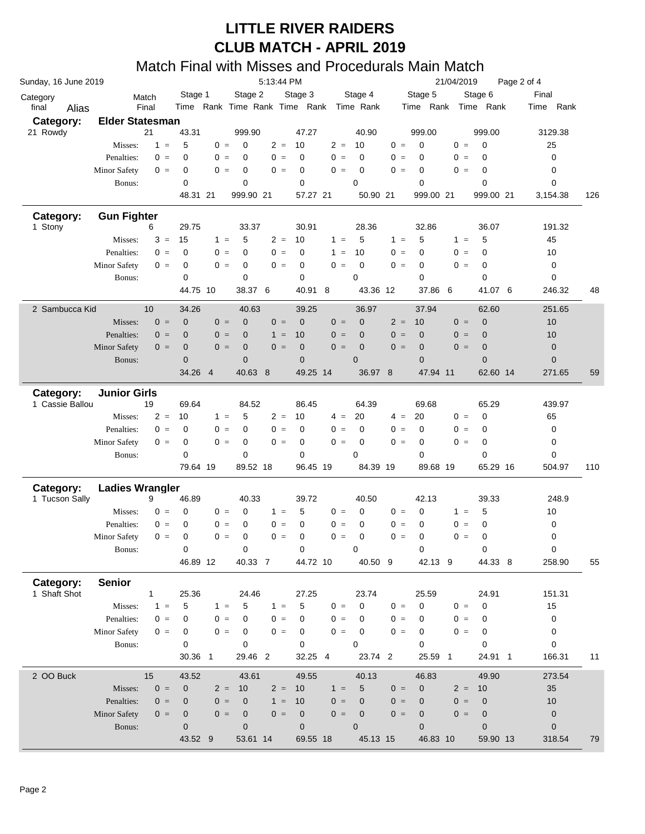|                           | 5:13:44 PM             |             |                      |       |                |       |             |       | 21/04/2019<br>Page 2 of 4               |       |                      |                |                   |     |                  |     |
|---------------------------|------------------------|-------------|----------------------|-------|----------------|-------|-------------|-------|-----------------------------------------|-------|----------------------|----------------|-------------------|-----|------------------|-----|
| Category                  |                        | Match       | Stage 1              |       | Stage 2        |       | Stage 3     |       | Stage 4                                 |       | Stage 5              |                | Stage 6           |     | Final            |     |
| final<br>Alias            |                        | Final       |                      |       |                |       |             |       | Time Rank Time Rank Time Rank Time Rank |       | Time Rank            |                | Time Rank         |     | Time Rank        |     |
| Category:                 | <b>Elder Statesman</b> |             |                      |       |                |       |             |       |                                         |       |                      |                |                   |     |                  |     |
| 21 Rowdy                  |                        | 21          | 43.31                |       | 999.90         |       | 47.27       |       | 40.90                                   |       | 999.00               |                | 999.00            |     | 3129.38          |     |
|                           | Misses:                | $1 =$       | 5                    | $0 =$ | $\mathbf 0$    | $2 =$ | 10          | $2 =$ | 10                                      | $0 =$ | $\mathbf 0$          | $0 =$          | $\mathbf 0$       |     | 25               |     |
|                           | Penalties:             | $0 =$       | $\mathbf 0$          | $0 =$ | $\Omega$       | $0 =$ | $\mathbf 0$ | $0 =$ | $\mathbf 0$                             | $0 =$ | $\mathbf 0$          | $0 =$          | $\mathbf 0$       |     | 0                |     |
|                           | <b>Minor Safety</b>    | $0 =$       | 0                    | $0 =$ | $\mathbf 0$    | $0 =$ | 0           | $0 =$ | 0                                       | $0 =$ | 0                    | $0 =$          | 0                 |     | 0                |     |
|                           | Bonus:                 |             | $\mathbf 0$          |       | 0              |       | 0           |       | 0                                       |       | $\mathbf 0$          |                | 0                 |     | 0                |     |
|                           |                        |             | 48.31 21             |       | 999.90 21      |       | 57.27 21    |       | 50.90 21                                |       | 999.00 21            |                | 999.00 21         |     | 3,154.38         | 126 |
| Category:                 | <b>Gun Fighter</b>     |             |                      |       |                |       |             |       |                                         |       |                      |                |                   |     |                  |     |
| 1 Stony                   |                        | 6           | 29.75                |       | 33.37          |       | 30.91       |       | 28.36                                   |       | 32.86                |                | 36.07             |     | 191.32           |     |
|                           | Misses:                | $3 =$       | 15                   | $1 =$ | 5              | $2 =$ | 10          | $1 =$ | 5                                       | $1 =$ | 5                    | $1 =$          | 5                 |     | 45               |     |
|                           | Penalties:             | $0 =$       | $\mathbf 0$          | $0 =$ | 0              | $0 =$ | $\mathbf 0$ | $1 =$ | 10                                      | $0 =$ | 0                    | $0 =$          | 0                 |     | 10               |     |
|                           | <b>Minor Safety</b>    | $0 =$       | $\mathbf 0$          | $0 =$ | $\mathbf 0$    | $0 =$ | 0           | $0 =$ | 0                                       | $0 =$ | 0                    | $0 =$          | 0                 |     | 0                |     |
|                           | Bonus:                 |             | $\mathbf 0$          |       | 0              |       | 0           |       | 0                                       |       | $\mathbf 0$          |                | 0                 |     | 0                |     |
|                           |                        |             | 44.75 10             |       | 38.37          | 6     | 40.91       | 8     | 43.36 12                                |       | 37.86                | 6              | 41.07             | - 6 | 246.32           | 48  |
| 2 Sambucca Kid            |                        | 10          | 34.26                |       | 40.63          |       | 39.25       |       | 36.97                                   |       | 37.94                |                | 62.60             |     | 251.65           |     |
|                           | Misses:                | $0 =$       | $\mathbf 0$          | $0 =$ | $\mathbf{0}$   | $0 =$ | $\mathbf 0$ | $0 =$ | $\mathbf 0$                             | $2 =$ | 10                   | $0 =$          | $\mathbf 0$       |     | 10               |     |
|                           | Penalties:             | $0 =$       | $\mathbf{0}$         | $0 =$ | $\overline{0}$ | $1 =$ | 10          | $0 =$ | $\mathbf 0$                             | $0 =$ | $\mathbf 0$          | $0 =$          | $\mathbf 0$       |     | 10               |     |
|                           | <b>Minor Safety</b>    | $0 =$       | $\mathbf 0$          | $0 =$ | 0              | $0 =$ | $\mathbf 0$ | $0 =$ | $\mathbf 0$                             | $0 =$ | $\mathbf 0$          | $0 =$          | $\mathbf 0$       |     | $\mathbf 0$      |     |
|                           | Bonus:                 |             | $\mathbf{0}$         |       | $\overline{0}$ |       | $\mathbf 0$ |       | $\mathbf 0$                             |       | $\mathbf{0}$         |                | $\overline{0}$    |     | $\mathbf 0$      |     |
|                           |                        |             | 34.26 4              |       | 40.63 8        |       | 49.25 14    |       | 36.97 8                                 |       | 47.94 11             |                | 62.60 14          |     | 271.65           | 59  |
| Category:                 | <b>Junior Girls</b>    |             |                      |       |                |       |             |       |                                         |       |                      |                |                   |     |                  |     |
| 1 Cassie Ballou           |                        | 19          | 69.64                |       | 84.52          |       | 86.45       |       | 64.39                                   |       | 69.68                |                | 65.29             |     | 439.97           |     |
|                           | Misses:                | $2 =$       | 10                   | $1 =$ | 5              | $2 =$ | 10          | $4 =$ | 20                                      | $4 =$ | 20                   | $0 =$          | $\mathbf 0$       |     | 65               |     |
|                           |                        |             |                      |       |                |       |             |       |                                         |       |                      |                |                   |     |                  |     |
|                           | Penalties:             | $0 =$       | 0                    | $0 =$ | 0              | $0 =$ | 0           | $0 =$ | $\mathbf 0$                             | $0 =$ | $\mathbf 0$          | $0 =$          | 0                 |     | 0                |     |
|                           | <b>Minor Safety</b>    | $0 =$       | $\mathbf 0$          | $0 =$ | 0              | $0 =$ | $\mathbf 0$ | $0 =$ | 0                                       | $0 =$ | 0                    | $0 =$          | 0                 |     | 0                |     |
|                           | Bonus:                 |             | $\mathbf 0$          |       | 0              |       | $\mathbf 0$ |       | $\mathbf 0$                             |       | $\mathbf 0$          |                | $\mathbf 0$       |     | 0                |     |
|                           |                        |             | 79.64 19             |       | 89.52 18       |       | 96.45 19    |       | 84.39 19                                |       | 89.68 19             |                | 65.29 16          |     | 504.97           | 110 |
|                           |                        |             |                      |       |                |       |             |       |                                         |       |                      |                |                   |     |                  |     |
| Category:                 | <b>Ladies Wrangler</b> | 9           | 46.89                |       | 40.33          |       | 39.72       |       | 40.50                                   |       | 42.13                |                | 39.33             |     | 248.9            |     |
| 1 Tucson Sally            | Misses:                | $0 =$       | $\mathbf 0$          | $0 =$ | 0              | $1 =$ | 5           | $0 =$ | 0                                       | $0 =$ | 0                    | $1 =$          | 5                 |     | 10               |     |
|                           | Penalties:             | $0 =$       | $\mathbf 0$          | $0 =$ | 0              | $0 =$ | $\mathbf 0$ | $0 =$ | 0                                       | $0 =$ | 0                    | $0 =$          | 0                 |     | 0                |     |
|                           | <b>Minor Safety</b>    | $0 =$       | $\mathbf 0$          | $0 =$ | $\mathbf 0$    | $0 =$ | $\mathbf 0$ | $0 =$ | 0                                       | $0 =$ | 0                    | $0 =$          | $\mathbf 0$       |     | 0                |     |
|                           | Bonus:                 |             | $\pmb{0}$            |       | 0              |       | 0           |       | 0                                       |       | 0                    |                | 0                 |     | 0                |     |
|                           |                        |             | 46.89 12             |       | 40.33 7        |       | 44.72 10    |       | 40.50 9                                 |       | 42.13 9              |                | 44.33 8           |     | 258.90           | 55  |
|                           |                        |             |                      |       |                |       |             |       |                                         |       |                      |                |                   |     |                  |     |
| Category:<br>1 Shaft Shot | <b>Senior</b>          | 1           | 25.36                |       | 24.46          |       | 27.25       |       | 23.74                                   |       | 25.59                |                | 24.91             |     |                  |     |
|                           | Misses:                | $1 =$       | 5                    | $1 =$ | 5              | $1 =$ | 5           | $0 =$ | 0                                       | $0 =$ | $\mathbf 0$          | $0 =$          | $\mathbf 0$       |     | 151.31<br>15     |     |
|                           | Penalties:             | $0 =$       | 0                    | $0 =$ | 0              | $0 =$ | 0           | $0 =$ | 0                                       | $0 =$ | 0                    | $0 =$          | 0                 |     | $\pmb{0}$        |     |
|                           | Minor Safety           | $0 =$       | 0                    | $0 =$ | 0              | $0 =$ | 0           | $0 =$ | 0                                       | $0 =$ | 0                    | $0 =$          | 0                 |     | 0                |     |
|                           | Bonus:                 |             | $\mathbf 0$          |       | 0              |       | $\mathbf 0$ |       | 0                                       |       | $\mathbf 0$          |                | $\mathbf 0$       |     | 0                |     |
|                           |                        |             | 30.36 1              |       | 29.46 2        |       | 32.25 4     |       | 23.74 2                                 |       | 25.59 1              |                | 24.91 1           |     | 166.31           | 11  |
|                           |                        |             |                      |       |                |       |             |       |                                         |       |                      |                |                   |     |                  |     |
| 2 OO Buck                 | Misses:                | 15<br>$0 =$ | 43.52<br>$\mathbf 0$ | $2 =$ | 43.61<br>10    | $2 =$ | 49.55<br>10 | $1 =$ | 40.13                                   | $0 =$ | 46.83<br>$\mathbf 0$ |                | 49.90             |     | 273.54<br>35     |     |
|                           | Penalties:             | $0 =$       | $\mathbf 0$          | $0 =$ | $\mathbf{0}$   | $1 =$ | 10          | $0 =$ | $\mathbf 5$<br>$\mathbf 0$              | $0 =$ | $\mathbf 0$          | $2 =$<br>$0 =$ | 10<br>$\mathbf 0$ |     | 10               |     |
|                           | <b>Minor Safety</b>    | $0 =$       | $\mathbf 0$          | $0 =$ | 0              | $0 =$ | $\mathbf 0$ | $0 =$ | $\mathbf 0$                             | $0 =$ | $\mathbf 0$          | $0 =$          | $\pmb{0}$         |     | $\boldsymbol{0}$ |     |
|                           | Bonus:                 |             | $\mathbf 0$          |       | $\overline{0}$ |       | $\pmb{0}$   |       | $\mathbf 0$                             |       | $\mathbf 0$          |                | $\mathbf 0$       |     | $\mathbf 0$      |     |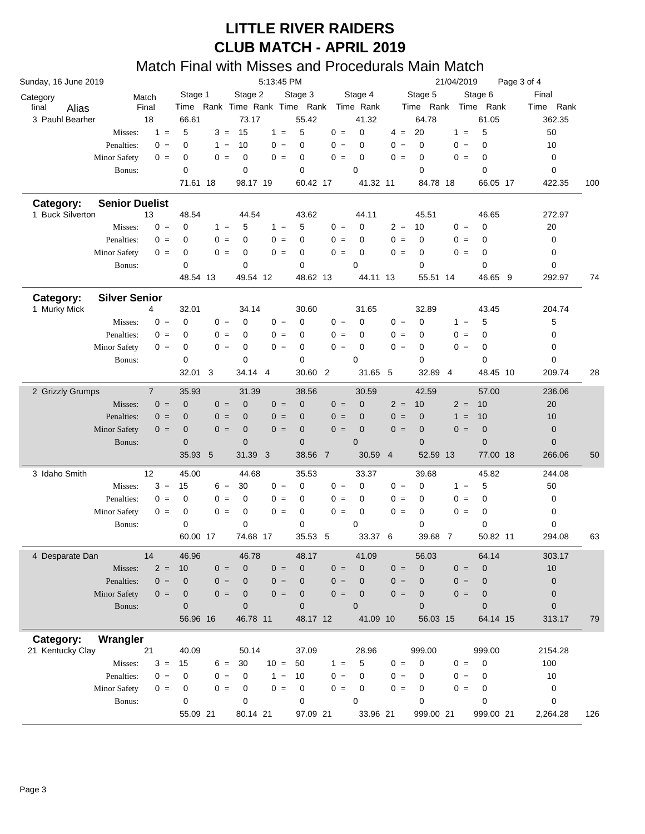| Sunday, 16 June 2019          |                       |                | 5:13:45 PM  |       |                          |                         |                         |       |                |       | 21/04/2019<br>Page 3 of 4 |                |                        |  |                  |     |  |  |
|-------------------------------|-----------------------|----------------|-------------|-------|--------------------------|-------------------------|-------------------------|-------|----------------|-------|---------------------------|----------------|------------------------|--|------------------|-----|--|--|
| Category                      |                       | Match          | Stage 1     |       | Stage 2                  |                         | Stage 3                 |       | Stage 4        |       | Stage 5                   |                | Stage 6                |  | Final            |     |  |  |
| final<br>Alias                |                       | Final          |             |       | Time Rank Time Rank Time |                         | Rank                    |       | Time Rank      |       | Time Rank                 |                | Time Rank              |  | Time Rank        |     |  |  |
| 3 Pauhl Bearher               |                       | 18             | 66.61       |       | 73.17                    |                         | 55.42                   |       | 41.32          |       | 64.78                     |                | 61.05                  |  | 362.35           |     |  |  |
|                               | Misses:               | $1 =$          | 5           | $3 =$ | 15                       | $1 =$                   | 5                       | $0 =$ | $\mathbf 0$    | $4 =$ | 20                        | $1 =$          | 5                      |  | 50               |     |  |  |
|                               | Penalties:            | $0 =$          | $\mathbf 0$ | $1 =$ | 10                       | $0 =$                   | $\mathbf 0$             | $0 =$ | 0              | $0 =$ | $\mathbf 0$               | $0 =$          | $\mathbf 0$            |  | 10               |     |  |  |
|                               | <b>Minor Safety</b>   | $0 =$          | 0           | $0 =$ | $\mathbf 0$              | $0 =$                   | $\mathbf 0$             | $0 =$ | 0              | $0 =$ | 0                         | $0 =$          | $\mathbf 0$            |  | 0                |     |  |  |
|                               | Bonus:                |                | $\mathbf 0$ |       | 0                        |                         | 0                       |       | $\mathbf 0$    |       | $\mathbf 0$               |                | $\mathbf 0$            |  | 0                |     |  |  |
|                               |                       |                | 71.61 18    |       | 98.17 19                 |                         | 60.42 17                |       | 41.32 11       |       | 84.78 18                  |                | 66.05 17               |  | 422.35           | 100 |  |  |
|                               |                       |                |             |       |                          |                         |                         |       |                |       |                           |                |                        |  |                  |     |  |  |
| Category:<br>1 Buck Silverton | <b>Senior Duelist</b> | 13             | 48.54       |       | 44.54                    |                         | 43.62                   |       | 44.11          |       | 45.51                     |                | 46.65                  |  | 272.97           |     |  |  |
|                               | Misses:               | $0 =$          | $\mathbf 0$ | $1 =$ | 5                        | $1 =$                   | 5                       | $0 =$ | 0              | $2 =$ | 10                        | $0 =$          | $\mathbf 0$            |  | 20               |     |  |  |
|                               | Penalties:            | $0 =$          | $\mathbf 0$ | $0 =$ | 0                        | $0 =$                   | 0                       | $0 =$ | 0              | $0 =$ | 0                         | $0 =$          | $\mathbf 0$            |  | 0                |     |  |  |
|                               | <b>Minor Safety</b>   | $0 =$          | $\mathbf 0$ | $0 =$ | 0                        | $0 =$                   | $\mathbf 0$             | $0 =$ | 0              | $0 =$ | 0                         | $0 =$          | $\mathbf 0$            |  | 0                |     |  |  |
|                               |                       |                |             |       |                          |                         |                         |       |                |       |                           |                |                        |  |                  |     |  |  |
|                               | Bonus:                |                | $\mathbf 0$ |       | 0                        |                         | $\mathbf 0$<br>48.62 13 |       | 0              |       | 0                         |                | $\mathbf 0$<br>46.65 9 |  | 0                |     |  |  |
|                               |                       |                | 48.54 13    |       | 49.54 12                 |                         |                         |       | 44.11 13       |       | 55.51 14                  |                |                        |  | 292.97           | 74  |  |  |
| Category:                     | <b>Silver Senior</b>  |                |             |       |                          |                         |                         |       |                |       |                           |                |                        |  |                  |     |  |  |
| 1 Murky Mick                  |                       | 4              | 32.01       |       | 34.14                    |                         | 30.60                   |       | 31.65          |       | 32.89                     |                | 43.45                  |  | 204.74           |     |  |  |
|                               | Misses:               | $0 =$          | $\mathbf 0$ | $0 =$ | $\mathbf 0$              | $0 =$                   | $\mathbf 0$             | $0 =$ | 0              | $0 =$ | $\mathbf 0$               | $1 =$          | 5                      |  | 5                |     |  |  |
|                               | Penalties:            | $0 =$          | 0           | $0 =$ | 0                        | $0 =$                   | 0                       | $0 =$ | 0              | $0 =$ | 0                         | $0 =$          | $\mathbf 0$            |  | $\boldsymbol{0}$ |     |  |  |
|                               | <b>Minor Safety</b>   | $0 =$          | 0           | $0 =$ | 0                        | $0 =$                   | $\mathbf 0$             | $0 =$ | 0              | $0 =$ | 0                         | $0 =$          | 0                      |  | 0                |     |  |  |
|                               | Bonus:                |                | $\mathbf 0$ |       | 0                        |                         | 0                       |       | $\mathbf 0$    |       | $\mathbf 0$               |                | 0                      |  | 0                |     |  |  |
|                               |                       |                | 32.01 3     |       | 34.14 4                  |                         | 30.60 2                 |       | 31.65 5        |       | 32.89                     | $\overline{4}$ | 48.45 10               |  | 209.74           | 28  |  |  |
|                               |                       | $\overline{7}$ |             |       | 31.39                    |                         |                         |       | 30.59          |       |                           |                | 57.00                  |  |                  |     |  |  |
| 2 Grizzly Grumps              |                       |                | 35.93       |       |                          |                         | 38.56                   |       |                |       | 42.59                     |                |                        |  | 236.06           |     |  |  |
|                               | Misses:               | $0 =$          | $\mathbf 0$ | $0 =$ | $\mathbf 0$              | $0 =$                   | $\mathbf 0$             | $0 =$ | $\mathbf 0$    | $2 =$ | 10                        | $2 =$          | 10                     |  | 20               |     |  |  |
|                               | Penalties:            | $0 =$          | $\mathbf 0$ | $0 =$ | $\overline{0}$           | $0 =$                   | $\mathbf 0$             | $0 =$ | $\mathbf 0$    | $0 =$ | $\mathbf 0$               | $1 =$          | 10                     |  | 10               |     |  |  |
|                               | <b>Minor Safety</b>   | $0 =$          | $\mathbf 0$ | $0 =$ | $\mathbf 0$              | $0 =$                   | $\pmb{0}$               | $0 =$ | $\mathbf 0$    | $0 =$ | $\mathbf 0$               | $0 =$          | $\boldsymbol{0}$       |  | $\mathbf 0$      |     |  |  |
|                               | Bonus:                |                | $\mathbf 0$ |       | $\mathbf 0$              |                         | $\mathbf 0$             |       | $\mathbf 0$    |       | $\mathbf{0}$              |                | $\mathbf{0}$           |  | $\mathbf 0$      |     |  |  |
|                               |                       |                | 35.93 5     |       | 31.39                    | $\overline{\mathbf{3}}$ | 38.56 7                 |       | 30.59 4        |       | 52.59 13                  |                | 77.00 18               |  | 266.06           | 50  |  |  |
| 3 Idaho Smith                 |                       | 12             | 45.00       |       | 44.68                    |                         | 35.53                   |       | 33.37          |       | 39.68                     |                | 45.82                  |  | 244.08           |     |  |  |
|                               | Misses:               | $3 =$          | 15          | $6 =$ | 30                       | $0 =$                   | 0                       | $0 =$ | 0              | $0 =$ | $\mathbf 0$               | $1 =$          | 5                      |  | 50               |     |  |  |
|                               | Penalties:            | $0 =$          | 0           | $0 =$ | 0                        | $0 =$                   | 0                       | $0 =$ | 0              | $0 =$ | 0                         | $0 =$          | $\mathbf 0$            |  | 0                |     |  |  |
|                               | <b>Minor Safety</b>   | $0 =$          | 0           | $0 =$ | $\mathbf 0$              | $0 =$                   | 0                       | $0 =$ | 0              | $0 =$ | 0                         | $0 =$          | $\mathbf 0$            |  | 0                |     |  |  |
|                               | Bonus:                |                | $\mathbf 0$ |       | 0                        |                         | $\mathbf 0$             |       | 0              |       | $\mathbf 0$               |                | $\mathbf 0$            |  | 0                |     |  |  |
|                               |                       |                | 60.00 17    |       | 74.68 17                 |                         | 35.53 5                 |       | 33.37 6        |       | 39.68                     | $\overline{7}$ | 50.82 11               |  | 294.08           | 63  |  |  |
|                               |                       |                |             |       |                          |                         |                         |       |                |       |                           |                |                        |  |                  |     |  |  |
| 4 Desparate Dan               |                       | 14             | 46.96       |       | 46.78                    |                         | 48.17                   |       | 41.09          |       | 56.03                     |                | 64.14                  |  | 303.17           |     |  |  |
|                               | Misses:               | $2 =$          | 10          | $0 =$ | $\mathbf 0$              | $0 =$                   | $\mathbf 0$             | $0 =$ | $\mathbf 0$    | $0 =$ | $\mathbf 0$               | $0 =$          | $\mathbf 0$            |  | 10               |     |  |  |
|                               | Penalties:            | $0 =$          | $\mathbf 0$ | $0 =$ | $\overline{0}$           | $0 =$                   | $\mathbf 0$             | $0 =$ | 0              | $0 =$ | $\mathbf{0}$              | $0 =$          | $\mathbf 0$            |  | $\pmb{0}$        |     |  |  |
|                               | <b>Minor Safety</b>   | $0 =$          | $\mathbf 0$ | $0 =$ | $\mathbf{0}$             | $0 =$                   | $\mathbf 0$             | $0 =$ | $\mathbf 0$    | $0 =$ | $\mathbf 0$               | $0 =$          | $\mathbf 0$            |  | $\boldsymbol{0}$ |     |  |  |
|                               | Bonus:                |                | $\mathbf 0$ |       | $\overline{0}$           |                         | $\mathbf 0$             |       | $\overline{0}$ |       | $\mathbf{0}$              |                | $\mathbf{0}$           |  | $\mathbf 0$      |     |  |  |
|                               |                       |                | 56.96 16    |       | 46.78 11                 |                         | 48.17 12                |       | 41.09 10       |       | 56.03 15                  |                | 64.14 15               |  | 313.17           | 79  |  |  |
| Category:                     | Wrangler              |                |             |       |                          |                         |                         |       |                |       |                           |                |                        |  |                  |     |  |  |
| 21 Kentucky Clay              |                       | 21             | 40.09       |       | 50.14                    |                         | 37.09                   |       | 28.96          |       | 999.00                    |                | 999.00                 |  | 2154.28          |     |  |  |
|                               | Misses:               | $3 =$          | 15          | $6 =$ | 30                       | $10 =$                  | 50                      | $1 =$ | 5              | $0 =$ | 0                         | $0 =$          | $\mathbf 0$            |  | 100              |     |  |  |
|                               | Penalties:            | $0 =$          | 0           | $0 =$ | 0                        | $1 =$                   | 10                      | $0 =$ | 0              | $0 =$ | 0                         | $0 =$          | 0                      |  | 10               |     |  |  |
|                               | Minor Safety          | $0 =$          | 0           | $0 =$ | 0                        | $0 =$                   | $\mathbf 0$             | $0 =$ | 0              | $0 =$ | 0                         | $0 =$          | 0                      |  | 0                |     |  |  |
|                               | Bonus:                |                | 0           |       | 0                        |                         | 0                       |       | 0              |       | $\mathbf 0$               |                | $\mathbf 0$            |  | 0                |     |  |  |
|                               |                       |                | 55.09 21    |       | 80.14 21                 |                         | 97.09 21                |       | 33.96 21       |       | 999.00 21                 |                | 999.00 21              |  | 2,264.28         | 126 |  |  |
|                               |                       |                |             |       |                          |                         |                         |       |                |       |                           |                |                        |  |                  |     |  |  |